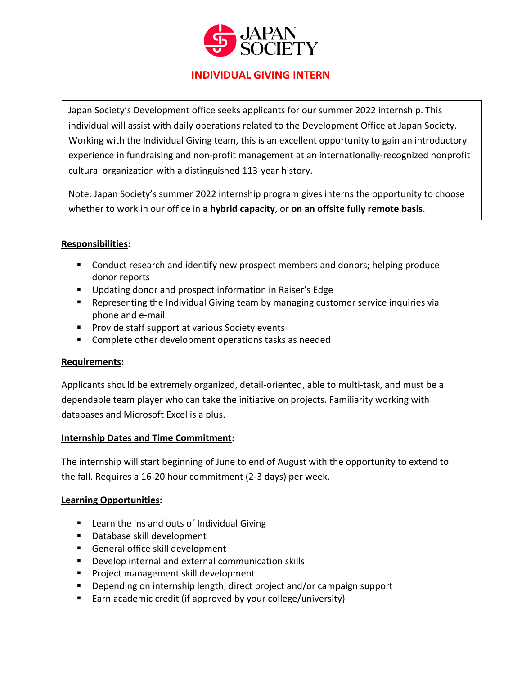

# **INDIVIDUAL GIVING INTERN**

Japan Society's Development office seeks applicants for our summer 2022 internship. This individual will assist with daily operations related to the Development Office at Japan Society. Working with the Individual Giving team, this is an excellent opportunity to gain an introductory experience in fundraising and non-profit management at an internationally-recognized nonprofit cultural organization with a distinguished 113-year history.

Note: Japan Society's summer 2022 internship program gives interns the opportunity to choose whether to work in our office in **a hybrid capacity**, or **on an offsite fully remote basis**.

#### **Responsibilities:**

- **EX Conduct research and identify new prospect members and donors; helping produce** donor reports
- **Updating donor and prospect information in Raiser's Edge**
- Representing the Individual Giving team by managing customer service inquiries via phone and e-mail
- **Provide staff support at various Society events**
- **E** Complete other development operations tasks as needed

## **Requirements:**

Applicants should be extremely organized, detail-oriented, able to multi-task, and must be a dependable team player who can take the initiative on projects. Familiarity working with databases and Microsoft Excel is a plus.

## **Internship Dates and Time Commitment:**

The internship will start beginning of June to end of August with the opportunity to extend to the fall. Requires a 16-20 hour commitment (2-3 days) per week.

#### **Learning Opportunities:**

- Learn the ins and outs of Individual Giving
- **Database skill development**
- General office skill development
- **Develop internal and external communication skills**
- **Project management skill development**
- Depending on internship length, direct project and/or campaign support
- Earn academic credit (if approved by your college/university)